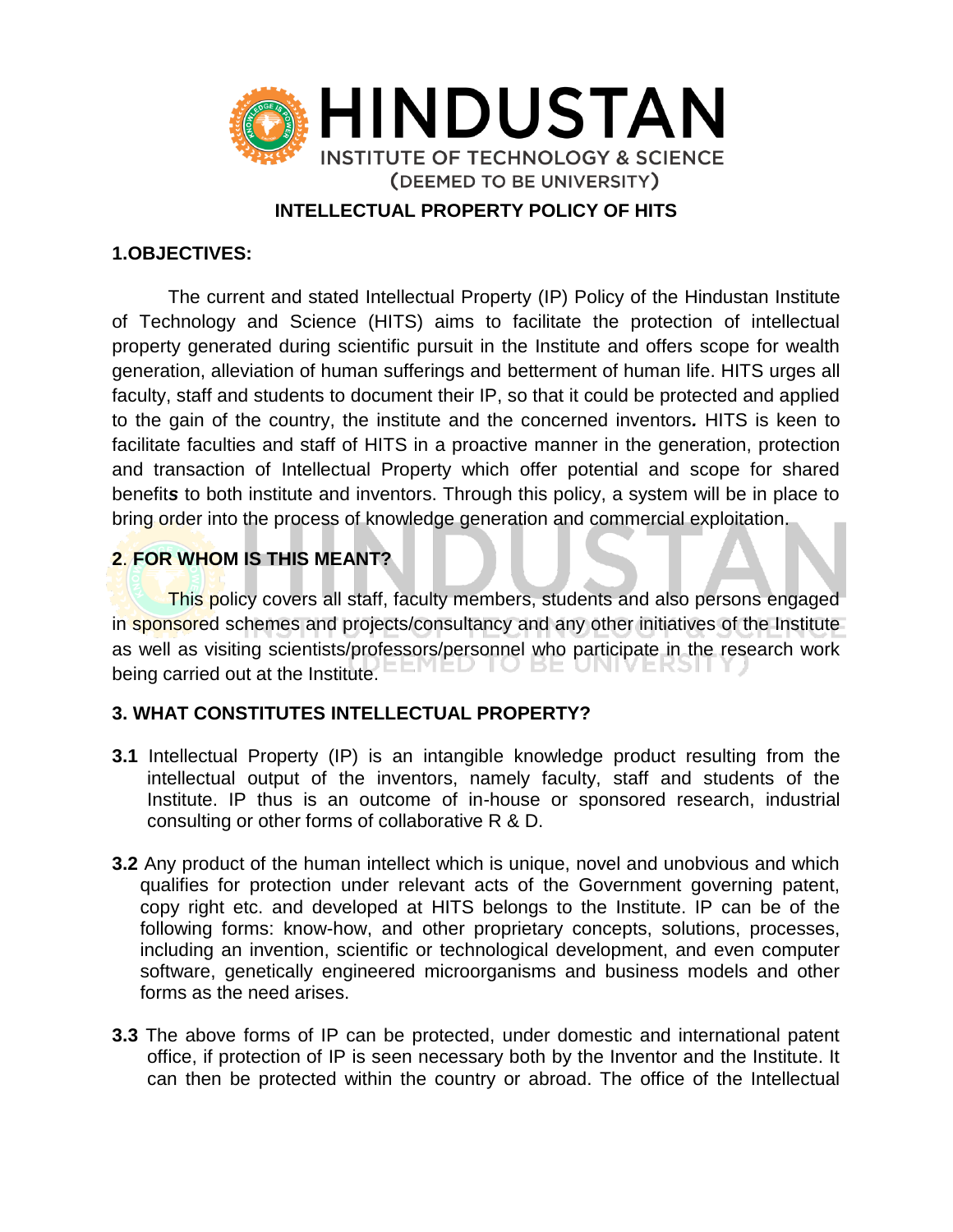

### **INTELLECTUAL PROPERTY POLICY OF HITS**

### **1.OBJECTIVES:**

The current and stated Intellectual Property (IP) Policy of the Hindustan Institute of Technology and Science (HITS) aims to facilitate the protection of intellectual property generated during scientific pursuit in the Institute and offers scope for wealth generation, alleviation of human sufferings and betterment of human life. HITS urges all faculty, staff and students to document their IP, so that it could be protected and applied to the gain of the country, the institute and the concerned inventors*.* HITS is keen to facilitate faculties and staff of HITS in a proactive manner in the generation, protection and transaction of Intellectual Property which offer potential and scope for shared benefit*s* to both institute and inventors. Through this policy, a system will be in place to bring order into the process of knowledge generation and commercial exploitation.

## **2**. **FOR WHOM IS THIS MEANT?**

This policy covers all staff, faculty members, students and also persons engaged in sponsored schemes and projects/consultancy and any other initiatives of the Institute as well as visiting scientists/professors/personnel who participate in the research work being carried out at the Institute.  $E E W E U U E E$ 

## **3. WHAT CONSTITUTES INTELLECTUAL PROPERTY?**

- **3.1** Intellectual Property (IP) is an intangible knowledge product resulting from the intellectual output of the inventors, namely faculty, staff and students of the Institute. IP thus is an outcome of in-house or sponsored research, industrial consulting or other forms of collaborative R & D.
- **3.2** Any product of the human intellect which is unique, novel and unobvious and which qualifies for protection under relevant acts of the Government governing patent, copy right etc. and developed at HITS belongs to the Institute. IP can be of the following forms: know-how, and other proprietary concepts, solutions, processes, including an invention, scientific or technological development, and even computer software, genetically engineered microorganisms and business models and other forms as the need arises.
- **3.3** The above forms of IP can be protected, under domestic and international patent office, if protection of IP is seen necessary both by the Inventor and the Institute. It can then be protected within the country or abroad. The office of the Intellectual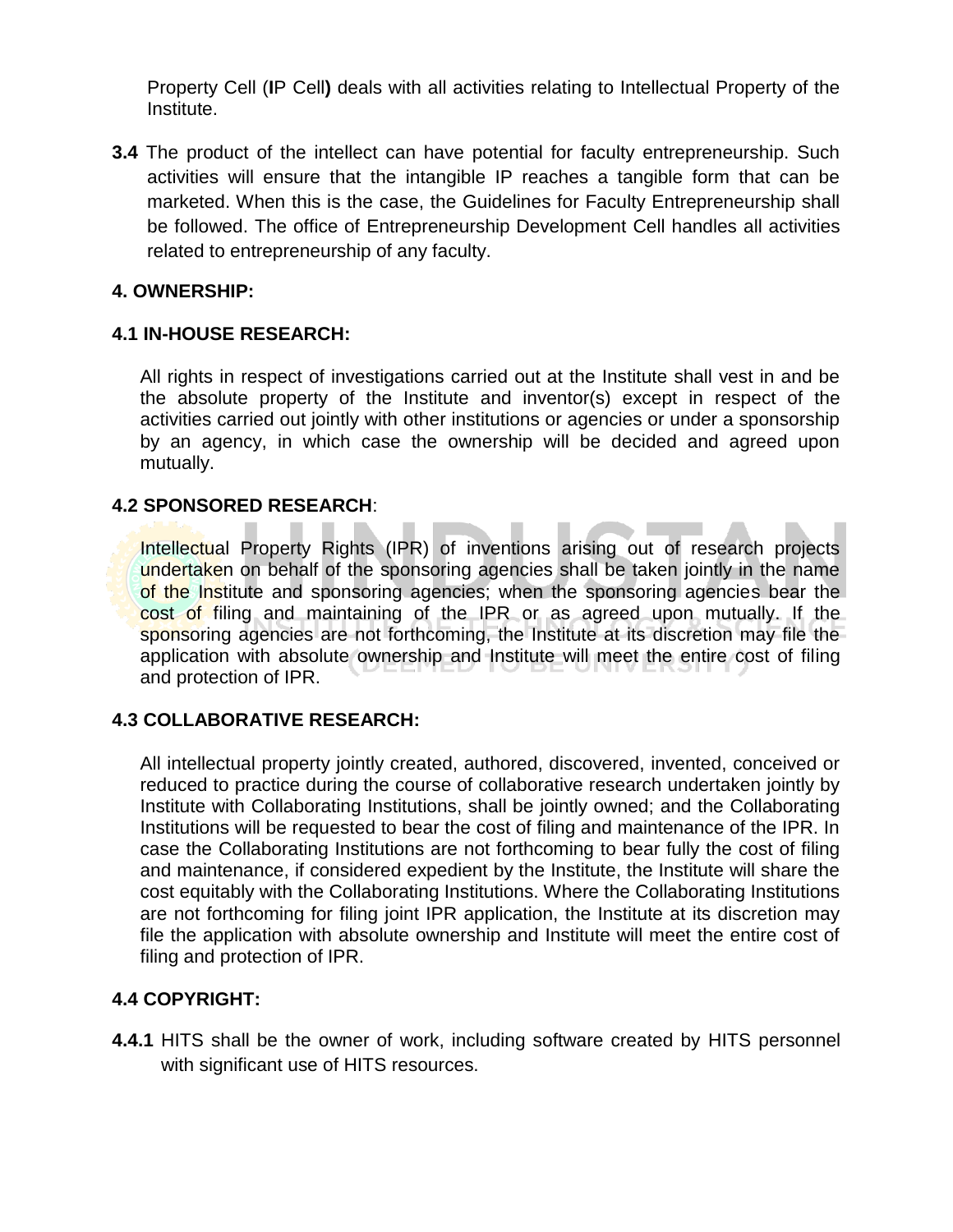Property Cell (**I**P Cell**)** deals with all activities relating to Intellectual Property of the Institute.

**3.4** The product of the intellect can have potential for faculty entrepreneurship. Such activities will ensure that the intangible IP reaches a tangible form that can be marketed. When this is the case, the Guidelines for Faculty Entrepreneurship shall be followed. The office of Entrepreneurship Development Cell handles all activities related to entrepreneurship of any faculty.

### **4. OWNERSHIP:**

### **4.1 IN-HOUSE RESEARCH:**

All rights in respect of investigations carried out at the Institute shall vest in and be the absolute property of the Institute and inventor(s) except in respect of the activities carried out jointly with other institutions or agencies or under a sponsorship by an agency, in which case the ownership will be decided and agreed upon mutually.

### **4.2 SPONSORED RESEARCH**:

Intellectual Property Rights (IPR) of inventions arising out of research projects undertaken on behalf of the sponsoring agencies shall be taken jointly in the name of the Institute and sponsoring agencies; when the sponsoring agencies bear the cost of filing and maintaining of the IPR or as agreed upon mutually. If the sponsoring agencies are not forthcoming, the Institute at its discretion may file the application with absolute ownership and Institute will meet the entire cost of filing and protection of IPR.

### **4.3 COLLABORATIVE RESEARCH:**

All intellectual property jointly created, authored, discovered, invented, conceived or reduced to practice during the course of collaborative research undertaken jointly by Institute with Collaborating Institutions, shall be jointly owned; and the Collaborating Institutions will be requested to bear the cost of filing and maintenance of the IPR. In case the Collaborating Institutions are not forthcoming to bear fully the cost of filing and maintenance, if considered expedient by the Institute, the Institute will share the cost equitably with the Collaborating Institutions. Where the Collaborating Institutions are not forthcoming for filing joint IPR application, the Institute at its discretion may file the application with absolute ownership and Institute will meet the entire cost of filing and protection of IPR.

## **4.4 COPYRIGHT:**

**4.4.1** HITS shall be the owner of work, including software created by HITS personnel with significant use of HITS resources.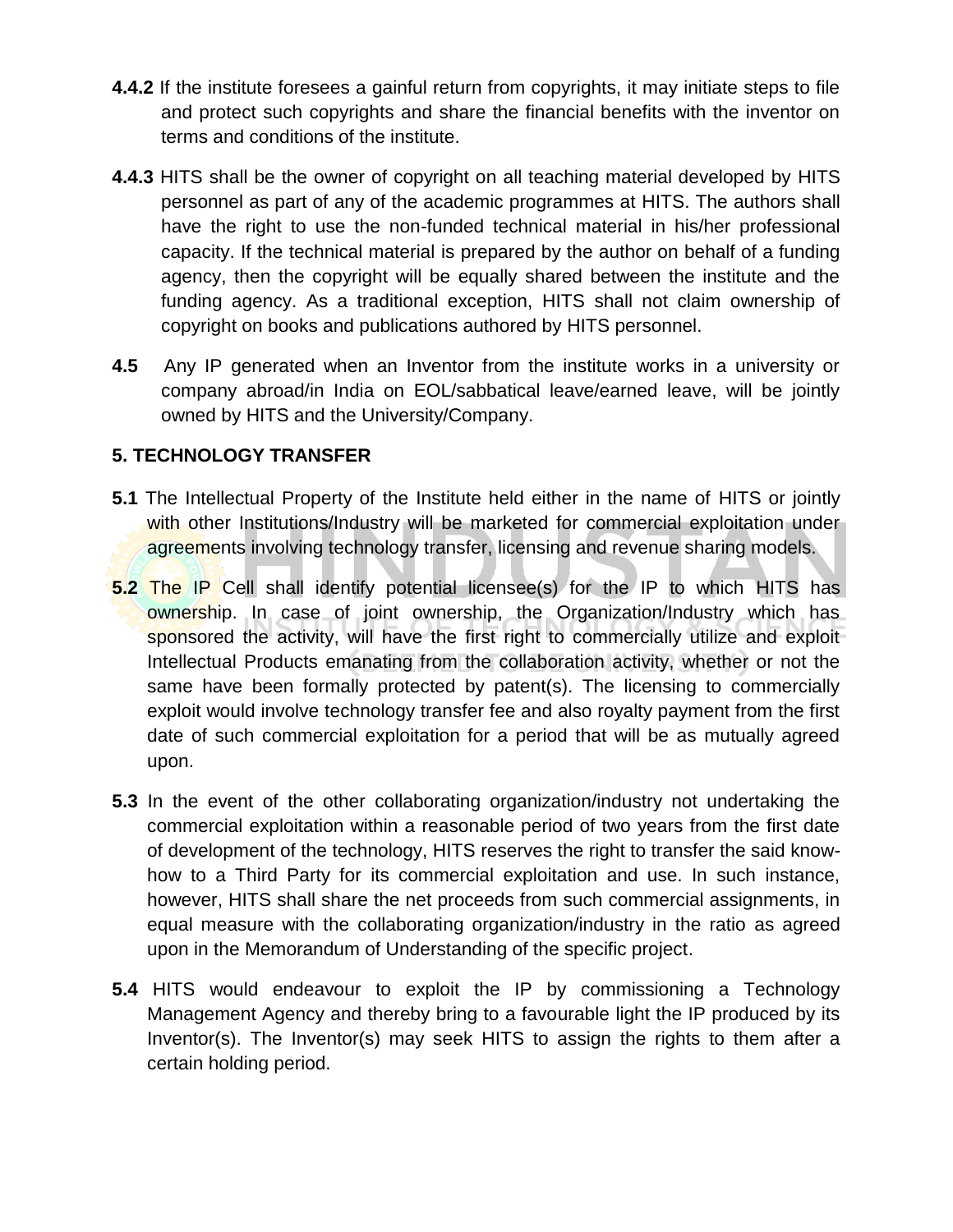- **4.4.2** If the institute foresees a gainful return from copyrights, it may initiate steps to file and protect such copyrights and share the financial benefits with the inventor on terms and conditions of the institute.
- **4.4.3** HITS shall be the owner of copyright on all teaching material developed by HITS personnel as part of any of the academic programmes at HITS. The authors shall have the right to use the non-funded technical material in his/her professional capacity. If the technical material is prepared by the author on behalf of a funding agency, then the copyright will be equally shared between the institute and the funding agency. As a traditional exception, HITS shall not claim ownership of copyright on books and publications authored by HITS personnel.
- **4.5** Any IP generated when an Inventor from the institute works in a university or company abroad/in India on EOL/sabbatical leave/earned leave, will be jointly owned by HITS and the University/Company.

# **5. TECHNOLOGY TRANSFER**

- **5.1** The Intellectual Property of the Institute held either in the name of HITS or jointly with other Institutions/Industry will be marketed for commercial exploitation under agreements involving technology transfer, licensing and revenue sharing models.
- **5.2** The IP Cell shall identify potential licensee(s) for the IP to which HITS has ownership. In case of joint ownership, the Organization/Industry which has sponsored the activity, will have the first right to commercially utilize and exploit Intellectual Products emanating from the collaboration activity, whether or not the same have been formally protected by patent(s). The licensing to commercially exploit would involve technology transfer fee and also royalty payment from the first date of such commercial exploitation for a period that will be as mutually agreed upon.
- **5.3** In the event of the other collaborating organization/industry not undertaking the commercial exploitation within a reasonable period of two years from the first date of development of the technology, HITS reserves the right to transfer the said knowhow to a Third Party for its commercial exploitation and use. In such instance, however, HITS shall share the net proceeds from such commercial assignments, in equal measure with the collaborating organization/industry in the ratio as agreed upon in the Memorandum of Understanding of the specific project.
- **5.4** HITS would endeavour to exploit the IP by commissioning a Technology Management Agency and thereby bring to a favourable light the IP produced by its Inventor(s). The Inventor(s) may seek HITS to assign the rights to them after a certain holding period.